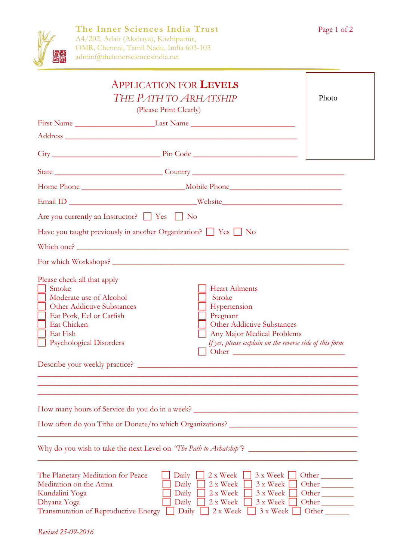

| <b>APPLICATION FOR LEVELS</b><br>THE PATH TO ARHATSHIP                                                                                                                                                  | Photo                                                                                                                   |                                                                                                       |
|---------------------------------------------------------------------------------------------------------------------------------------------------------------------------------------------------------|-------------------------------------------------------------------------------------------------------------------------|-------------------------------------------------------------------------------------------------------|
|                                                                                                                                                                                                         | (Please Print Clearly)                                                                                                  |                                                                                                       |
|                                                                                                                                                                                                         |                                                                                                                         |                                                                                                       |
|                                                                                                                                                                                                         |                                                                                                                         |                                                                                                       |
|                                                                                                                                                                                                         |                                                                                                                         |                                                                                                       |
|                                                                                                                                                                                                         |                                                                                                                         |                                                                                                       |
|                                                                                                                                                                                                         |                                                                                                                         |                                                                                                       |
| Are you currently an Instructor? $\Box$ Yes $\Box$ No                                                                                                                                                   |                                                                                                                         |                                                                                                       |
|                                                                                                                                                                                                         | Have you taught previously in another Organization? $\Box$ Yes $\Box$ No                                                |                                                                                                       |
|                                                                                                                                                                                                         |                                                                                                                         |                                                                                                       |
|                                                                                                                                                                                                         |                                                                                                                         |                                                                                                       |
| Smoke<br>Moderate use of Alcohol<br><b>Other Addictive Substances</b><br>Eat Pork, Eel or Catfish<br><b>Eat Chicken</b><br>Eat Fish<br><b>Psychological Disorders</b><br>Describe your weekly practice? | <b>Heart Ailments</b><br>Stroke<br>Hypertension<br>Pregnant<br>Other Addictive Substances<br>Any Major Medical Problems | If yes, please explain on the reverse side of this form                                               |
|                                                                                                                                                                                                         | How many hours of Service do you do in a week?                                                                          |                                                                                                       |
|                                                                                                                                                                                                         | How often do you Tithe or Donate/to which Organizations?                                                                |                                                                                                       |
|                                                                                                                                                                                                         | Why do you wish to take the next Level on "The Path to Arhatship"?                                                      |                                                                                                       |
| The Planetary Meditation for Peace<br>Meditation on the Atma<br>Kundalini Yoga<br>Dhyana Yoga<br>Transmutation of Reproductive Energy                                                                   | 2 x Week<br>Daily<br>2 x Week<br>Daily<br>Daily<br>2 x Week<br>2 x Week<br>Daily<br>Daily<br>2 x Week                   | 3 x Week<br>Other<br>3 x Week<br>Other<br>3 x Week<br>Other<br>3 x Week<br>Other<br>3 x Week<br>Other |

*Revised 25-09-2016*